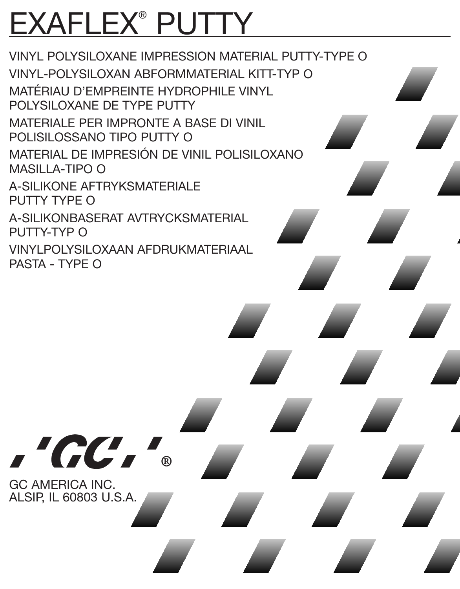# EXAFLEX® PUTTY

VINYL POLYSILOXANE IMPRESSION MATERIAL PUTTY-TYPE O VINYL-POLYSILOXAN ABFORMMATERIAL KITT-TYP O MATÉRIAU D'EMPREINTE HYDROPHILE VINYL POLYSILOXANE DE TYPE PUTTY MATERIALE PER IMPRONTE A BASE DI VINIL POLISILOSSANO TIPO PUTTY O MATERIAL DE IMPRESIÓN DE VINIL POLISILOXANO MASILLA-TIPO O A-SILIKONE AFTRYKSMATERIALE PUTTY TYPE O A-SILIKONBASERAT AVTRYCKSMATERIAL PUTTY-TYP O VINYLPOLYSILOXAAN AFDRUKMATERIAAL PASTA - TYPE O

"GC. GC AMERICA INC.

൹

ALSIP, IL 60803 U.S.A.